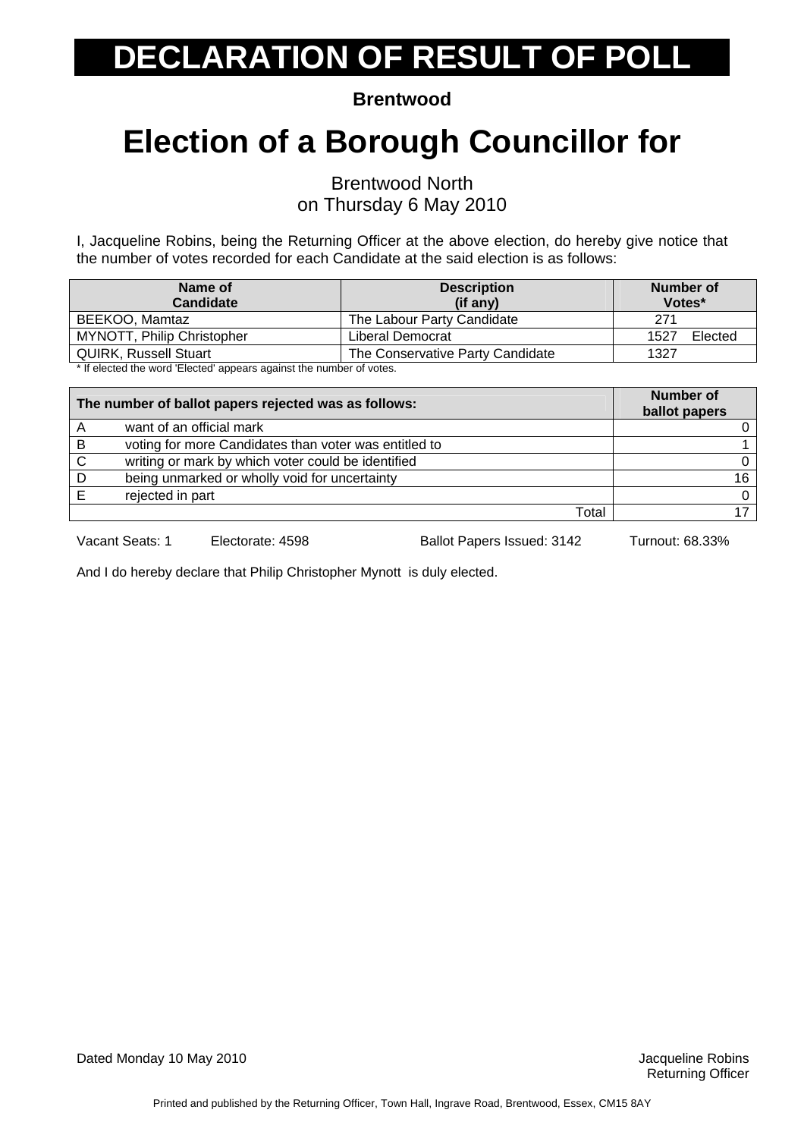**Brentwood** 

### **Election of a Borough Councillor for**

Brentwood North on Thursday 6 May 2010

I, Jacqueline Robins, being the Returning Officer at the above election, do hereby give notice that the number of votes recorded for each Candidate at the said election is as follows:

| Name of<br><b>Candidate</b>                                                                                                                                                                                                       | <b>Description</b><br>(if any)   | Number of<br>Votes* |
|-----------------------------------------------------------------------------------------------------------------------------------------------------------------------------------------------------------------------------------|----------------------------------|---------------------|
| BEEKOO, Mamtaz                                                                                                                                                                                                                    | The Labour Party Candidate       | 271                 |
| MYNOTT, Philip Christopher                                                                                                                                                                                                        | Liberal Democrat                 | Elected<br>1527     |
| <b>QUIRK, Russell Stuart</b>                                                                                                                                                                                                      | The Conservative Party Candidate | 1327                |
| $\mathbf{u}$ , and the contract of the contract of the contract of the contract of the contract of the contract of the contract of the contract of the contract of the contract of the contract of the contract of the contract o |                                  |                     |

If elected the word 'Elected' appears against the number of votes.

|   | The number of ballot papers rejected was as follows:  | Number of<br>ballot papers |
|---|-------------------------------------------------------|----------------------------|
| A | want of an official mark                              |                            |
| B | voting for more Candidates than voter was entitled to |                            |
| C | writing or mark by which voter could be identified    |                            |
| D | being unmarked or wholly void for uncertainty         | 16                         |
|   | rejected in part                                      |                            |
|   | Total                                                 |                            |

Vacant Seats: 1 Electorate: 4598 Ballot Papers Issued: 3142 Turnout: 68.33%

And I do hereby declare that Philip Christopher Mynott is duly elected.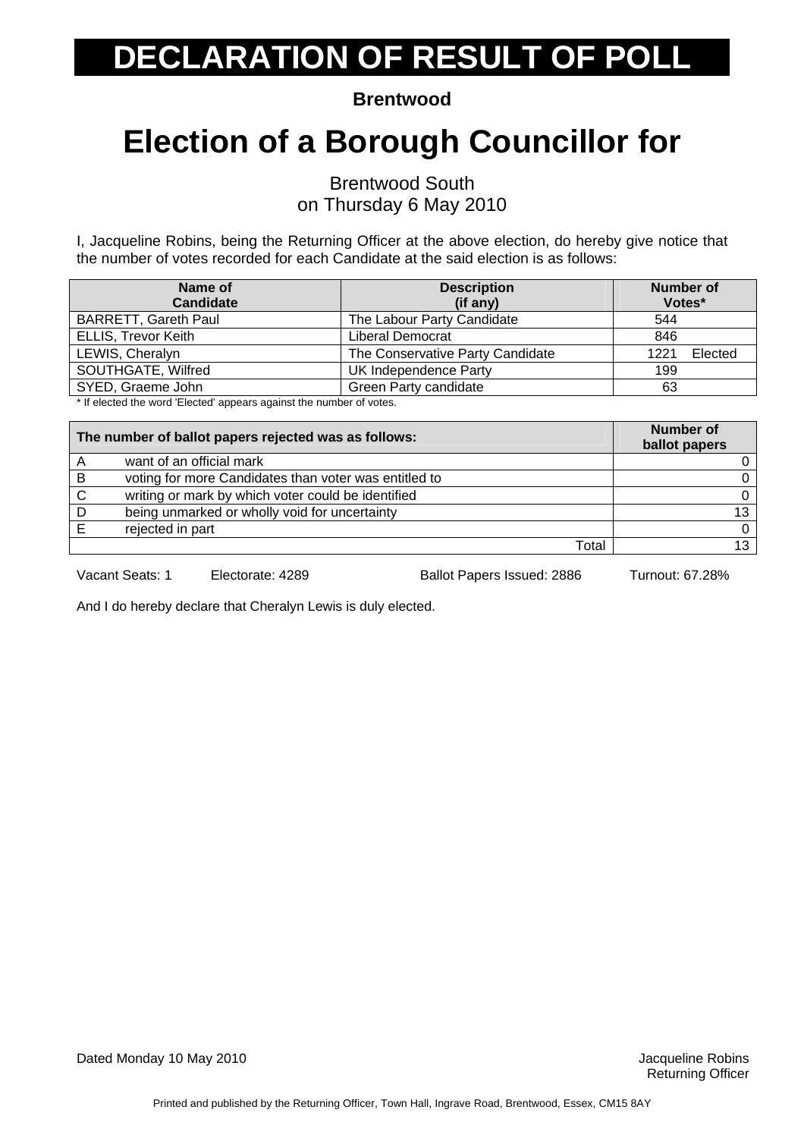**Brentwood** 

## **Election of a Borough Councillor for**

Brentwood South

on Thursday 6 May 2010

I, Jacqueline Robins, being the Returning Officer at the above election, do hereby give notice that the number of votes recorded for each Candidate at the said election is as follows:

| <b>Description</b>               | Number of       |
|----------------------------------|-----------------|
| (i f any)                        | Votes*          |
| The Labour Party Candidate       | 544             |
| Liberal Democrat                 | 846             |
| The Conservative Party Candidate | Elected<br>1221 |
| UK Independence Party            | 199             |
| Green Party candidate            | 63              |
|                                  |                 |

If elected the word 'Elected' appears against the number of votes.

| The number of ballot papers rejected was as follows: |                                                       | <b>Number of</b><br>ballot papers |
|------------------------------------------------------|-------------------------------------------------------|-----------------------------------|
| A                                                    | want of an official mark                              |                                   |
| B                                                    | voting for more Candidates than voter was entitled to |                                   |
| $\mathbf C$                                          | writing or mark by which voter could be identified    | 0                                 |
| D                                                    | being unmarked or wholly void for uncertainty         | 13                                |
|                                                      | rejected in part                                      | $\Omega$                          |
|                                                      | Total                                                 | 13                                |

Vacant Seats: 1 Electorate: 4289 Ballot Papers Issued: 2886 Turnout: 67.28%

And I do hereby declare that Cheralyn Lewis is duly elected.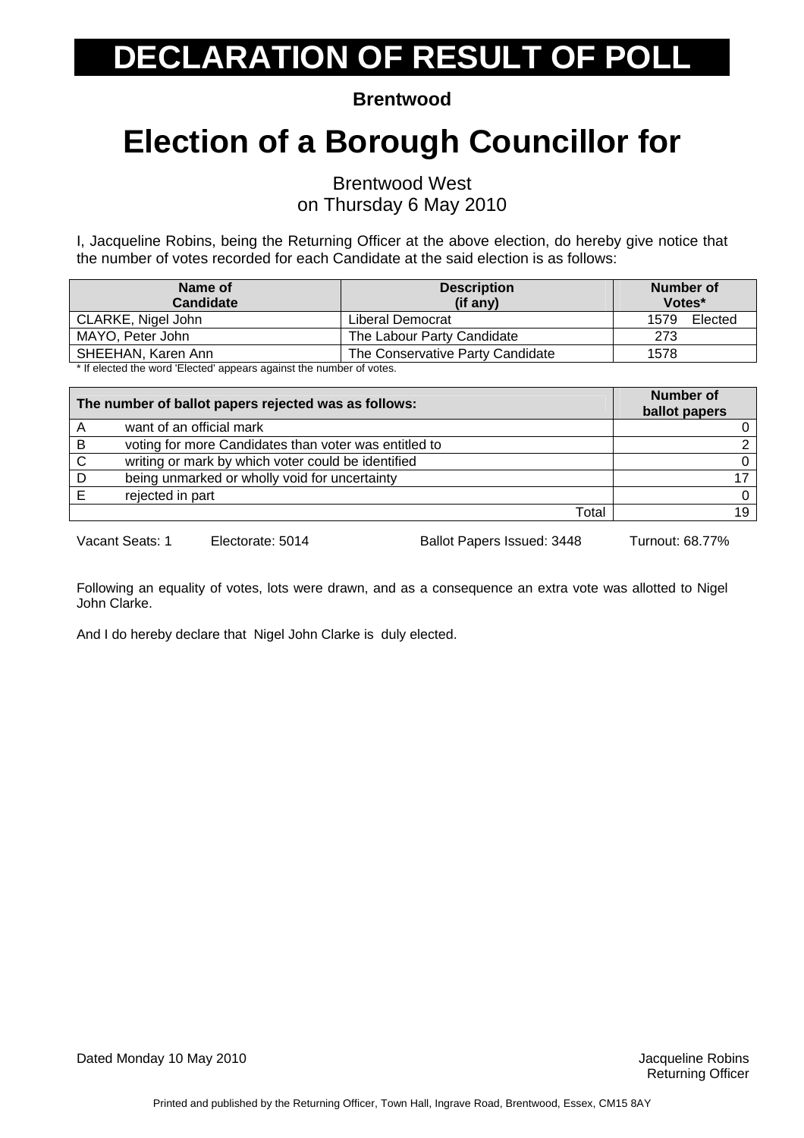**Brentwood** 

### **Election of a Borough Councillor for**

Brentwood West

on Thursday 6 May 2010

I, Jacqueline Robins, being the Returning Officer at the above election, do hereby give notice that the number of votes recorded for each Candidate at the said election is as follows:

| Name of<br><b>Candidate</b> | <b>Description</b><br>(if any)   | Number of<br>Votes* |
|-----------------------------|----------------------------------|---------------------|
| CLARKE, Nigel John          | Liberal Democrat                 | 1579<br>Elected     |
| MAYO, Peter John            | The Labour Party Candidate       | 273                 |
| SHEEHAN, Karen Ann          | The Conservative Party Candidate | 1578                |
|                             |                                  |                     |

If elected the word 'Elected' appears against the number of votes.

| The number of ballot papers rejected was as follows: |                                                       | <b>Number of</b><br>ballot papers |
|------------------------------------------------------|-------------------------------------------------------|-----------------------------------|
| A                                                    | want of an official mark                              |                                   |
| B                                                    | voting for more Candidates than voter was entitled to |                                   |
| C                                                    | writing or mark by which voter could be identified    |                                   |
| D                                                    | being unmarked or wholly void for uncertainty         |                                   |
|                                                      | rejected in part                                      |                                   |
|                                                      | Total                                                 | 19                                |

Vacant Seats: 1 Electorate: 5014 Ballot Papers Issued: 3448 Turnout: 68.77%

Following an equality of votes, lots were drawn, and as a consequence an extra vote was allotted to Nigel John Clarke.

And I do hereby declare that Nigel John Clarke is duly elected.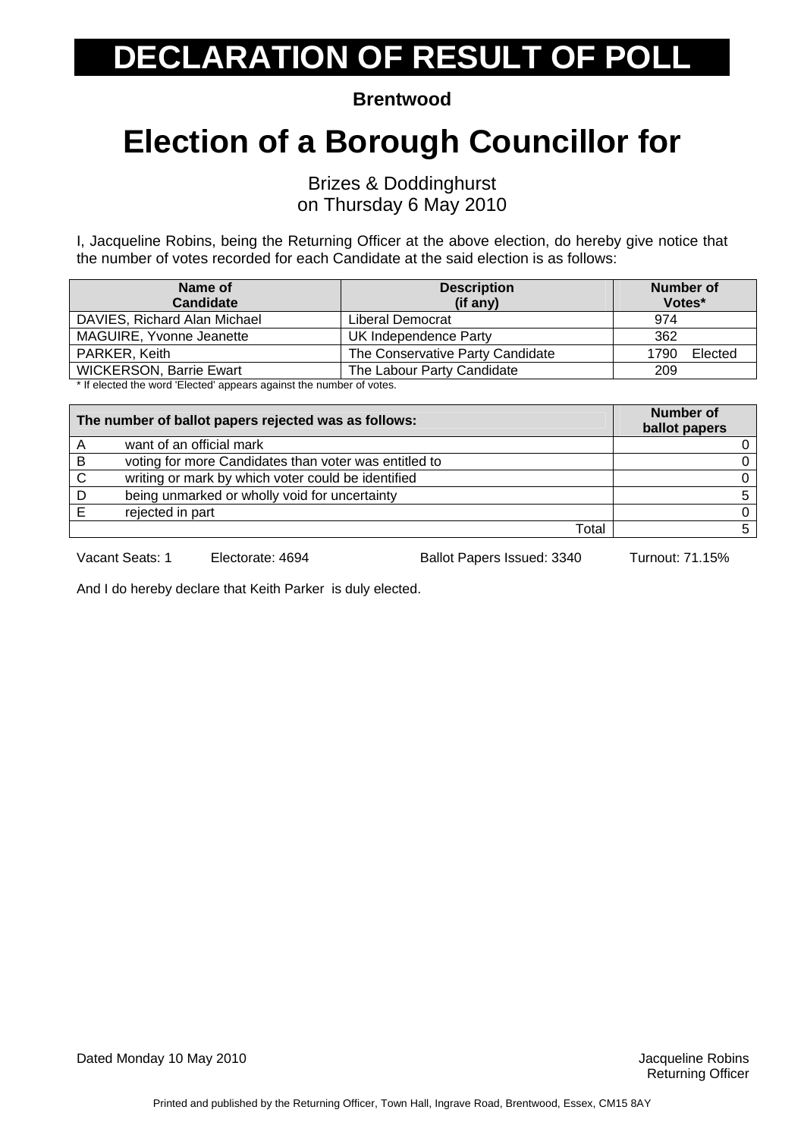**Brentwood** 

### **Election of a Borough Councillor for**

Brizes & Doddinghurst

on Thursday 6 May 2010

I, Jacqueline Robins, being the Returning Officer at the above election, do hereby give notice that the number of votes recorded for each Candidate at the said election is as follows:

| Name of                                                                                            | <b>Description</b>               | Number of       |
|----------------------------------------------------------------------------------------------------|----------------------------------|-----------------|
| <b>Candidate</b>                                                                                   | $(if$ any)                       | Votes*          |
| DAVIES, Richard Alan Michael                                                                       | Liberal Democrat                 | 974             |
| MAGUIRE, Yvonne Jeanette                                                                           | UK Independence Party            | 362             |
| PARKER, Keith                                                                                      | The Conservative Party Candidate | Elected<br>1790 |
| <b>WICKERSON, Barrie Ewart</b>                                                                     | The Labour Party Candidate       | 209             |
| المتعقب والمستحيل ويستحيط والانتقاد والمستحقق والمستحدا المستحدد والعامل والمتحدث والمنافذ المنافذ |                                  |                 |

If elected the word 'Elected' appears against the number of votes.

| The number of ballot papers rejected was as follows: |                                                       | <b>Number of</b><br>ballot papers |
|------------------------------------------------------|-------------------------------------------------------|-----------------------------------|
|                                                      | want of an official mark                              |                                   |
| B                                                    | voting for more Candidates than voter was entitled to |                                   |
| C                                                    | writing or mark by which voter could be identified    |                                   |
| D                                                    | being unmarked or wholly void for uncertainty         |                                   |
|                                                      | rejected in part                                      |                                   |
|                                                      | Total                                                 |                                   |

Vacant Seats: 1 Electorate: 4694 Ballot Papers Issued: 3340 Turnout: 71.15%

And I do hereby declare that Keith Parker is duly elected.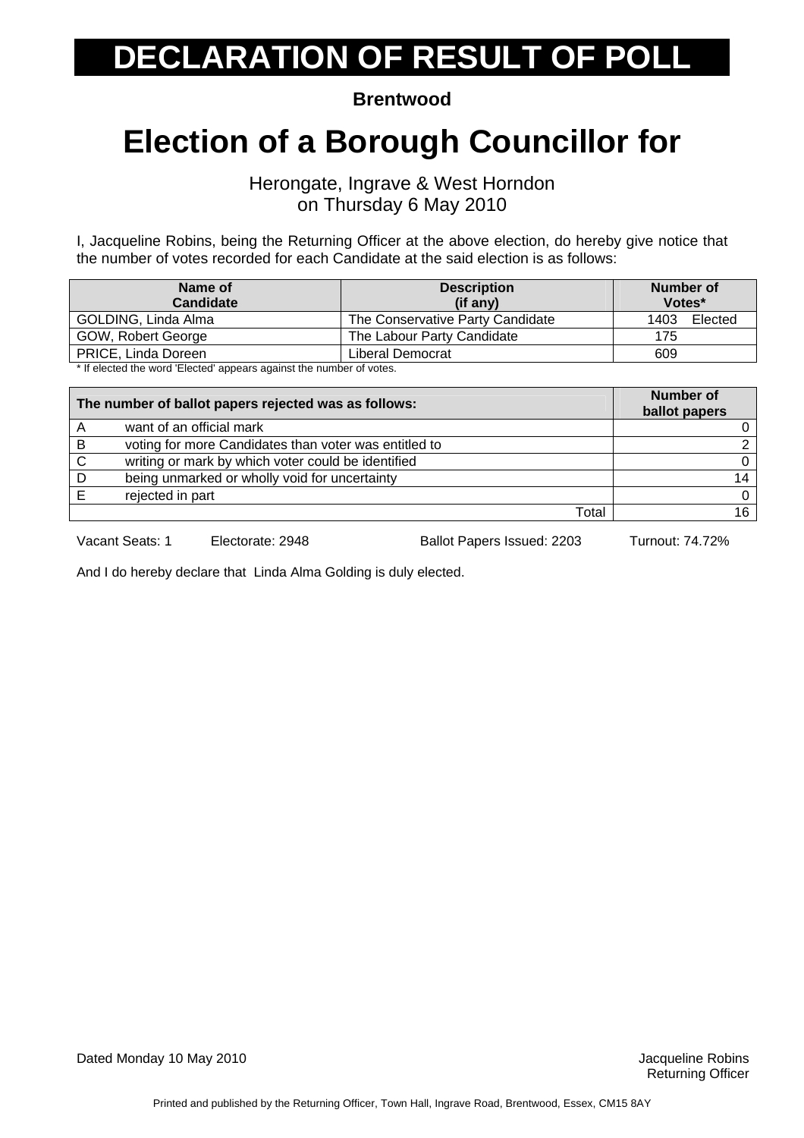**Brentwood** 

#### **Election of a Borough Councillor for**

Herongate, Ingrave & West Horndon on Thursday 6 May 2010

I, Jacqueline Robins, being the Returning Officer at the above election, do hereby give notice that the number of votes recorded for each Candidate at the said election is as follows:

| Name of<br><b>Candidate</b>                                                                                          | <b>Description</b><br>(if any)   | Number of<br>Votes* |
|----------------------------------------------------------------------------------------------------------------------|----------------------------------|---------------------|
| GOLDING, Linda Alma                                                                                                  | The Conservative Party Candidate | 1403<br>Elected     |
| GOW, Robert George                                                                                                   | The Labour Party Candidate       | 175                 |
| <b>PRICE, Linda Doreen</b>                                                                                           | Liberal Democrat                 | 609                 |
| . A 16 of a constitution constant fifted and the state of state of the constant in the state of constants $\epsilon$ |                                  |                     |

If elected the word 'Elected' appears against the number of votes.

| The number of ballot papers rejected was as follows: |                                                       | <b>Number of</b><br>ballot papers |
|------------------------------------------------------|-------------------------------------------------------|-----------------------------------|
| Α                                                    | want of an official mark                              |                                   |
| В                                                    | voting for more Candidates than voter was entitled to |                                   |
| C                                                    | writing or mark by which voter could be identified    |                                   |
| D                                                    | being unmarked or wholly void for uncertainty         |                                   |
|                                                      | rejected in part                                      |                                   |
|                                                      | Total                                                 |                                   |

Vacant Seats: 1 Electorate: 2948 Ballot Papers Issued: 2203 Turnout: 74.72%

And I do hereby declare that Linda Alma Golding is duly elected.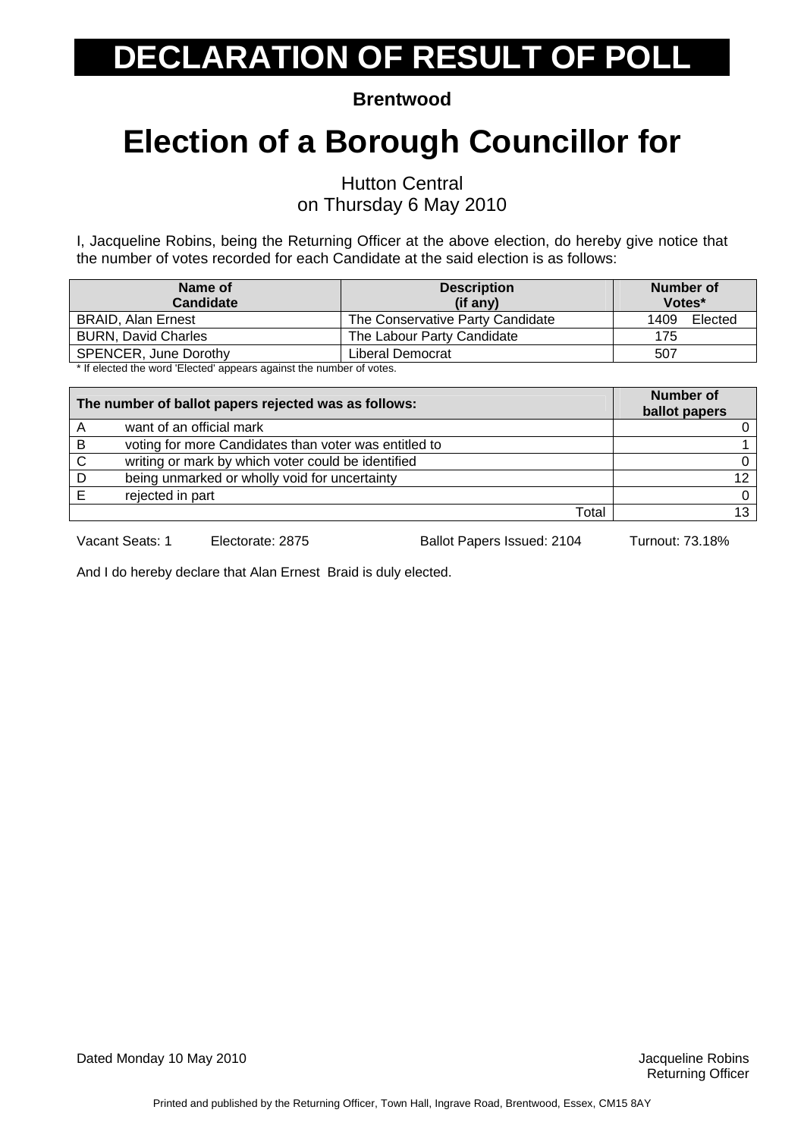**Brentwood** 

### **Election of a Borough Councillor for**

Hutton Central

on Thursday 6 May 2010

I, Jacqueline Robins, being the Returning Officer at the above election, do hereby give notice that the number of votes recorded for each Candidate at the said election is as follows:

| Name of<br><b>Candidate</b>                                         | <b>Description</b><br>$(if$ any) | Number of<br>Votes* |
|---------------------------------------------------------------------|----------------------------------|---------------------|
| <b>BRAID, Alan Ernest</b>                                           | The Conservative Party Candidate | 1409<br>Elected     |
| <b>BURN, David Charles</b>                                          | The Labour Party Candidate       | 175                 |
| <b>SPENCER, June Dorothy</b>                                        | Liberal Democrat                 | 507                 |
| * If algoted the word 'Elected' oppears against the number of vator |                                  |                     |

If elected the word 'Elected' appears against the number of votes.

| The number of ballot papers rejected was as follows: |                                                       | Number of<br>ballot papers |
|------------------------------------------------------|-------------------------------------------------------|----------------------------|
| A                                                    | want of an official mark                              |                            |
| B                                                    | voting for more Candidates than voter was entitled to |                            |
| C                                                    | writing or mark by which voter could be identified    |                            |
| D                                                    | being unmarked or wholly void for uncertainty         |                            |
|                                                      | rejected in part                                      |                            |
|                                                      | Total                                                 | 13                         |

Vacant Seats: 1 Electorate: 2875 Ballot Papers Issued: 2104 Turnout: 73.18%

And I do hereby declare that Alan Ernest Braid is duly elected.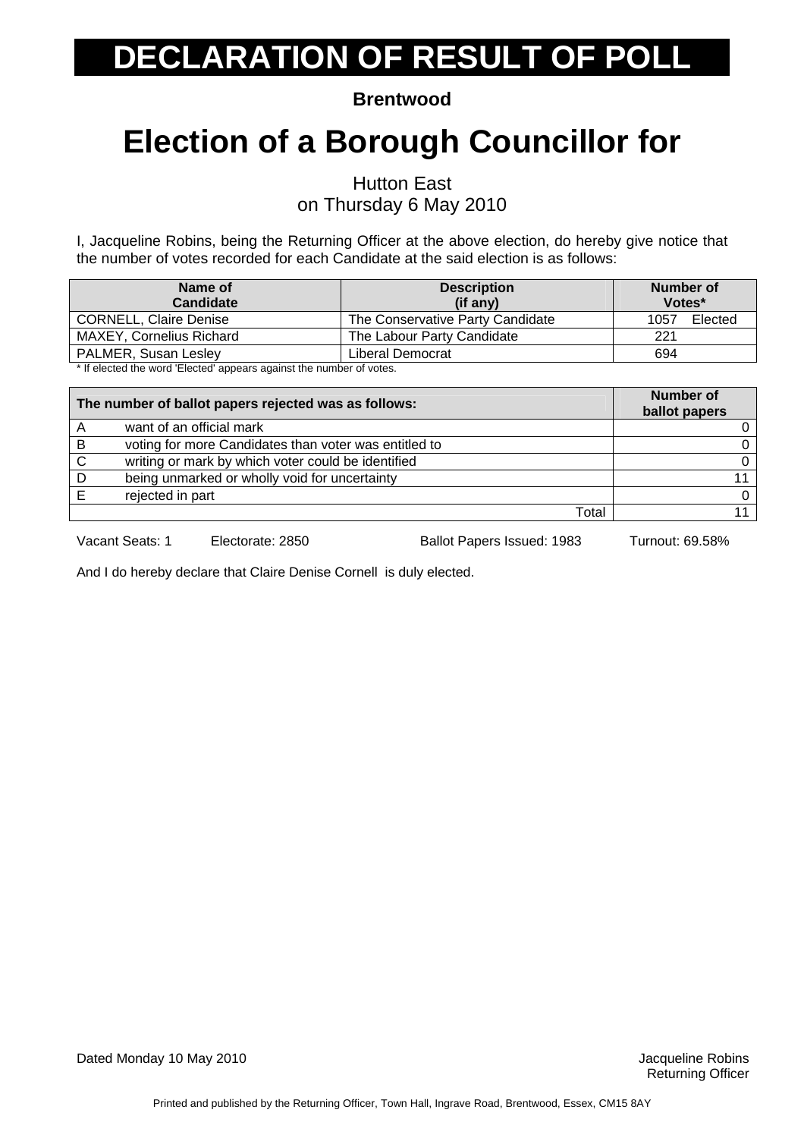**Brentwood** 

### **Election of a Borough Councillor for**

Hutton East

on Thursday 6 May 2010

I, Jacqueline Robins, being the Returning Officer at the above election, do hereby give notice that the number of votes recorded for each Candidate at the said election is as follows:

| Name of<br><b>Candidate</b>                                         | <b>Description</b><br>(if any)   | Number of<br>Votes* |
|---------------------------------------------------------------------|----------------------------------|---------------------|
| <b>CORNELL, Claire Denise</b>                                       | The Conservative Party Candidate | Elected<br>1057     |
| <b>MAXEY, Cornelius Richard</b>                                     | The Labour Party Candidate       | 221                 |
| <b>PALMER, Susan Lesley</b>                                         | Liberal Democrat                 | 694                 |
| t If alaatad the ward 'Elected' concern conjuct the pumber of vater |                                  |                     |

If elected the word 'Elected' appears against the number of votes.

| The number of ballot papers rejected was as follows: |                                                       | <b>Number of</b><br>ballot papers |
|------------------------------------------------------|-------------------------------------------------------|-----------------------------------|
| A                                                    | want of an official mark                              |                                   |
| B                                                    | voting for more Candidates than voter was entitled to |                                   |
| C                                                    | writing or mark by which voter could be identified    |                                   |
| D                                                    | being unmarked or wholly void for uncertainty         |                                   |
|                                                      | rejected in part                                      |                                   |
|                                                      | Total                                                 |                                   |

Vacant Seats: 1 Electorate: 2850 Ballot Papers Issued: 1983 Turnout: 69.58%

And I do hereby declare that Claire Denise Cornell is duly elected.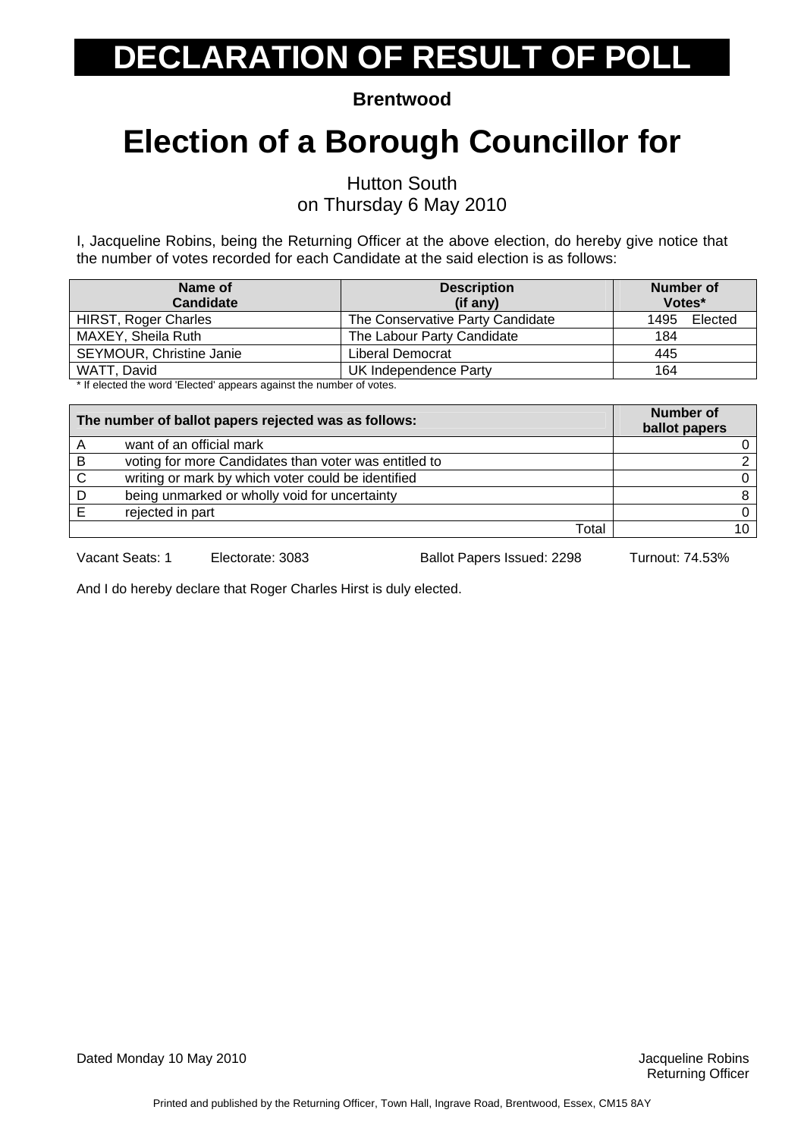**Brentwood** 

### **Election of a Borough Councillor for**

Hutton South

on Thursday 6 May 2010

I, Jacqueline Robins, being the Returning Officer at the above election, do hereby give notice that the number of votes recorded for each Candidate at the said election is as follows:

| <b>Description</b><br>(if any)   | Number of<br>Votes* |
|----------------------------------|---------------------|
| The Conservative Party Candidate | 1495<br>Elected     |
| The Labour Party Candidate       | 184                 |
| Liberal Democrat                 | 445                 |
| UK Independence Party            | 164                 |
|                                  |                     |

If elected the word 'Elected' appears against the number of votes.

| The number of ballot papers rejected was as follows: |                                                       | <b>Number of</b><br>ballot papers |
|------------------------------------------------------|-------------------------------------------------------|-----------------------------------|
|                                                      | want of an official mark                              |                                   |
| В                                                    | voting for more Candidates than voter was entitled to |                                   |
| C                                                    | writing or mark by which voter could be identified    |                                   |
| D                                                    | being unmarked or wholly void for uncertainty         |                                   |
|                                                      | rejected in part                                      |                                   |
|                                                      | Total                                                 |                                   |

Vacant Seats: 1 Electorate: 3083 Ballot Papers Issued: 2298 Turnout: 74.53%

And I do hereby declare that Roger Charles Hirst is duly elected.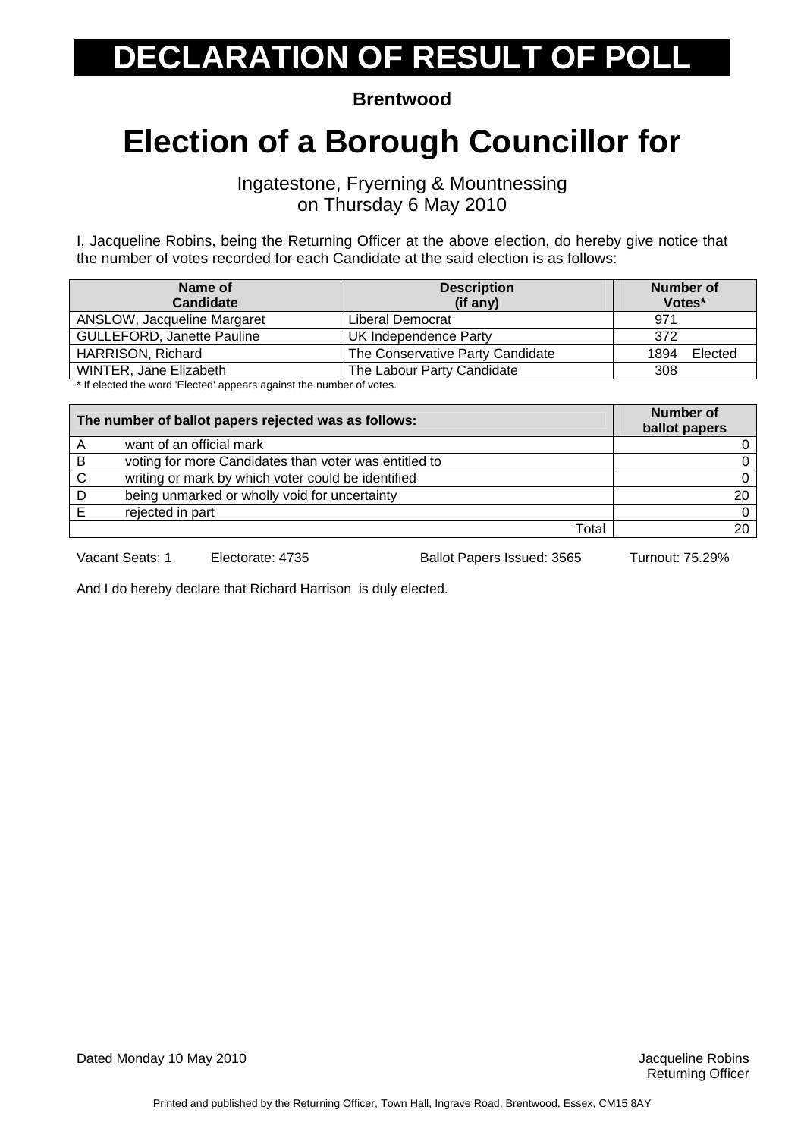**Brentwood** 

#### **Election of a Borough Councillor for**

Ingatestone, Fryerning & Mountnessing on Thursday 6 May 2010

I, Jacqueline Robins, being the Returning Officer at the above election, do hereby give notice that the number of votes recorded for each Candidate at the said election is as follows:

| Name of                                                                                                                                                                                                                               | <b>Description</b>               | <b>Number of</b> |
|---------------------------------------------------------------------------------------------------------------------------------------------------------------------------------------------------------------------------------------|----------------------------------|------------------|
| <b>Candidate</b>                                                                                                                                                                                                                      | (if any)                         | Votes*           |
| ANSLOW, Jacqueline Margaret                                                                                                                                                                                                           | Liberal Democrat                 | 971              |
| <b>GULLEFORD, Janette Pauline</b>                                                                                                                                                                                                     | UK Independence Party            | 372              |
| HARRISON, Richard                                                                                                                                                                                                                     | The Conservative Party Candidate | 1894<br>Elected  |
| WINTER, Jane Elizabeth                                                                                                                                                                                                                | The Labour Party Candidate       | 308              |
| $\blacklozenge$ . It is the started second time to see the second second second terms of the local second second second second second second second second second second second second second second second second second second seco |                                  |                  |

If elected the word 'Elected' appears against the number of votes.

| The number of ballot papers rejected was as follows: |                                                       | <b>Number of</b><br>ballot papers |
|------------------------------------------------------|-------------------------------------------------------|-----------------------------------|
|                                                      | want of an official mark                              |                                   |
| В                                                    | voting for more Candidates than voter was entitled to |                                   |
| C                                                    | writing or mark by which voter could be identified    |                                   |
| D                                                    | being unmarked or wholly void for uncertainty         | 20                                |
|                                                      | rejected in part                                      |                                   |
|                                                      | Total                                                 | 20                                |

Vacant Seats: 1 Electorate: 4735 Ballot Papers Issued: 3565 Turnout: 75.29%

And I do hereby declare that Richard Harrison is duly elected.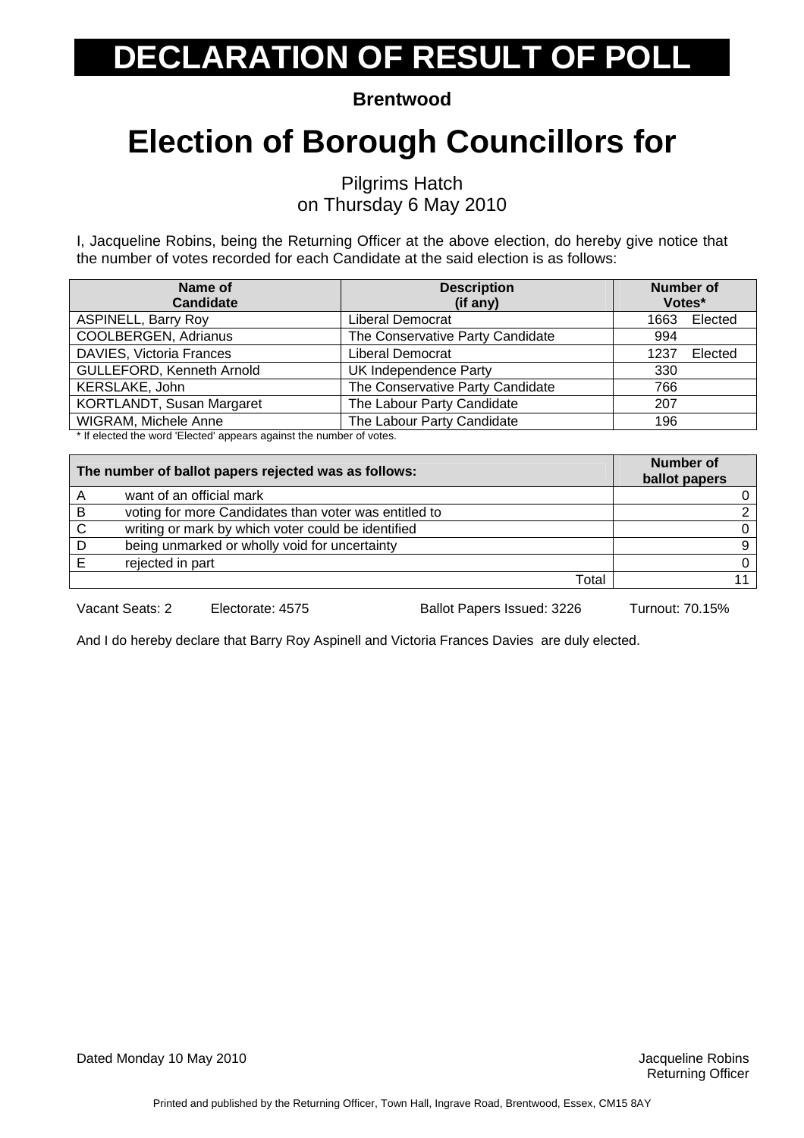**Brentwood** 

#### **Election of Borough Councillors for**

Pilgrims Hatch on Thursday 6 May 2010

I, Jacqueline Robins, being the Returning Officer at the above election, do hereby give notice that the number of votes recorded for each Candidate at the said election is as follows:

| Name of<br><b>Candidate</b> | <b>Description</b><br>(if any)   | <b>Number of</b><br>Votes* |         |
|-----------------------------|----------------------------------|----------------------------|---------|
| <b>ASPINELL, Barry Roy</b>  | Liberal Democrat                 | 1663                       | Elected |
| COOLBERGEN, Adrianus        | The Conservative Party Candidate | 994                        |         |
| DAVIES, Victoria Frances    | Liberal Democrat                 | 1237                       | Elected |
| GULLEFORD, Kenneth Arnold   | UK Independence Party            | 330                        |         |
| KERSLAKE, John              | The Conservative Party Candidate | 766                        |         |
| KORTLANDT, Susan Margaret   | The Labour Party Candidate       | 207                        |         |
| WIGRAM, Michele Anne        | The Labour Party Candidate       | 196                        |         |

\* If elected the word 'Elected' appears against the number of votes.

| The number of ballot papers rejected was as follows: |                                                       | <b>Number of</b><br>ballot papers |
|------------------------------------------------------|-------------------------------------------------------|-----------------------------------|
| A                                                    | want of an official mark                              |                                   |
| B                                                    | voting for more Candidates than voter was entitled to |                                   |
| C                                                    | writing or mark by which voter could be identified    | 0                                 |
| D                                                    | being unmarked or wholly void for uncertainty         | 9                                 |
|                                                      | rejected in part                                      | 0                                 |
|                                                      | Total                                                 |                                   |

Vacant Seats: 2 Electorate: 4575 Ballot Papers Issued: 3226 Turnout: 70.15%

And I do hereby declare that Barry Roy Aspinell and Victoria Frances Davies are duly elected.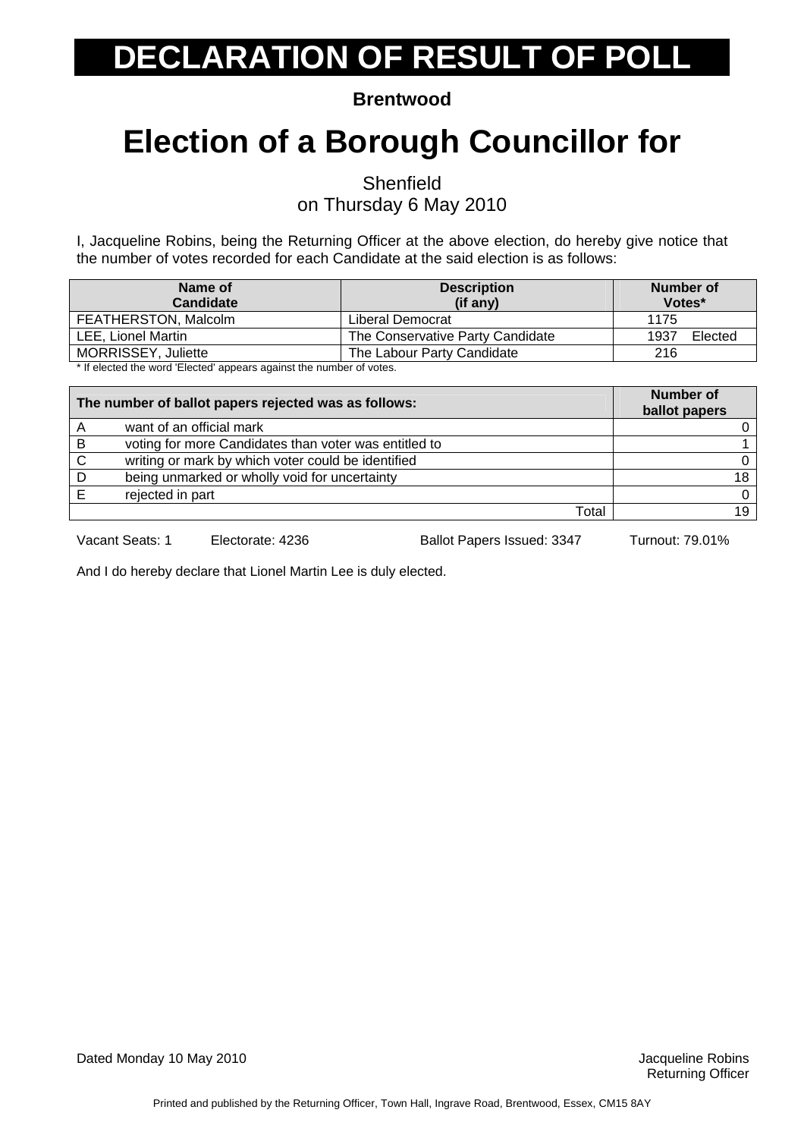**Brentwood** 

### **Election of a Borough Councillor for**

**Shenfield** 

on Thursday 6 May 2010

I, Jacqueline Robins, being the Returning Officer at the above election, do hereby give notice that the number of votes recorded for each Candidate at the said election is as follows:

| Name of<br><b>Candidate</b>                                                                      | <b>Description</b><br>(if any)   | Number of<br>Votes* |
|--------------------------------------------------------------------------------------------------|----------------------------------|---------------------|
| FEATHERSTON, Malcolm                                                                             | Liberal Democrat                 | 1175                |
| LEE. Lionel Martin                                                                               | The Conservative Party Candidate | 1937<br>Elected     |
| MORRISSEY, Juliette                                                                              | The Labour Party Candidate       | 216                 |
| المتعقب والمستحير والمستحدث والاستحصار والمستحدث والمستحدا المستحدد والمستحدث والمستقار فالمنافذ |                                  |                     |

If elected the word 'Elected' appears against the number of votes.

| The number of ballot papers rejected was as follows: |                                                       | <b>Number of</b><br>ballot papers |
|------------------------------------------------------|-------------------------------------------------------|-----------------------------------|
|                                                      | want of an official mark                              |                                   |
| B                                                    | voting for more Candidates than voter was entitled to |                                   |
| C                                                    | writing or mark by which voter could be identified    |                                   |
| D                                                    | being unmarked or wholly void for uncertainty         | 18                                |
|                                                      | rejected in part                                      |                                   |
|                                                      | Total                                                 | 19                                |

Vacant Seats: 1 Electorate: 4236 Ballot Papers Issued: 3347 Turnout: 79.01%

And I do hereby declare that Lionel Martin Lee is duly elected.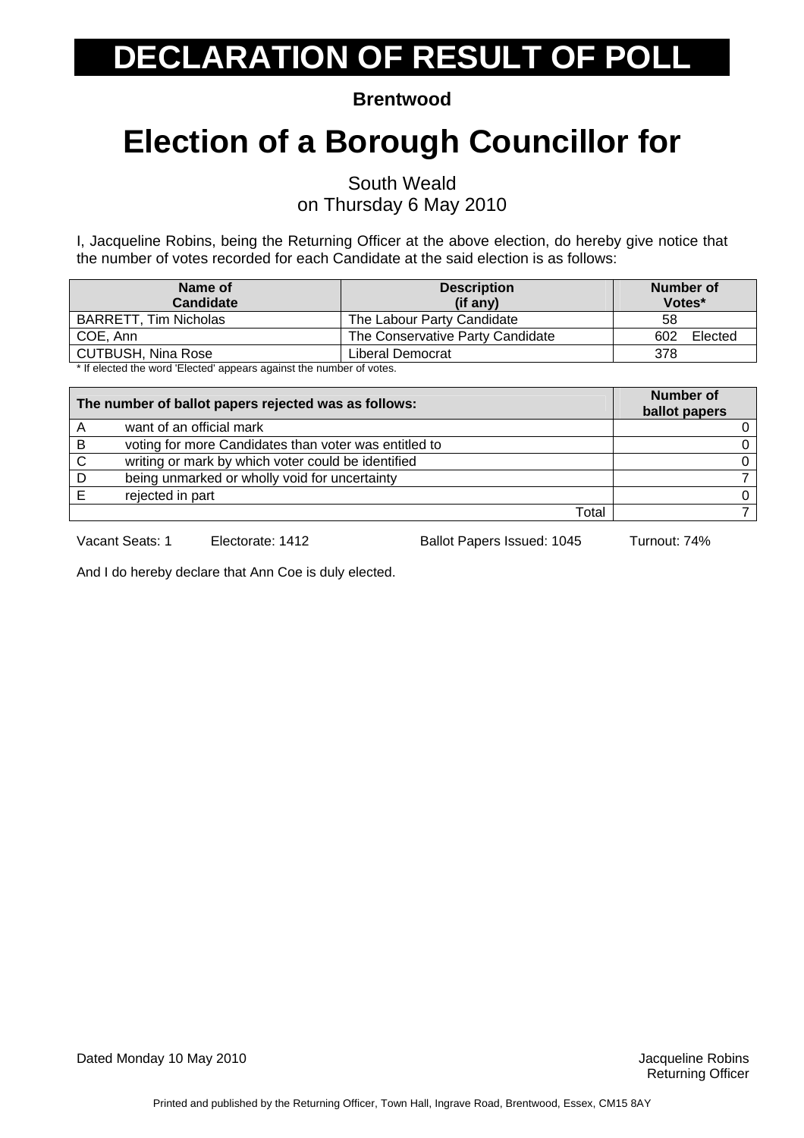**Brentwood** 

### **Election of a Borough Councillor for**

South Weald

on Thursday 6 May 2010

I, Jacqueline Robins, being the Returning Officer at the above election, do hereby give notice that the number of votes recorded for each Candidate at the said election is as follows:

| Name of<br><b>Candidate</b>                                         | <b>Description</b><br>$(if$ any) | Number of<br>Votes* |
|---------------------------------------------------------------------|----------------------------------|---------------------|
| <b>BARRETT, Tim Nicholas</b>                                        | The Labour Party Candidate       | 58                  |
| COE, Ann                                                            | The Conservative Party Candidate | Elected<br>602      |
| <b>CUTBUSH, Nina Rose</b>                                           | Liberal Democrat                 | 378                 |
| t If alasted the ward 'Fleeted' concern conjust the pumber of vates |                                  |                     |

If elected the word 'Elected' appears against the number of votes.

| The number of ballot papers rejected was as follows: |                                                       | <b>Number of</b><br>ballot papers |
|------------------------------------------------------|-------------------------------------------------------|-----------------------------------|
|                                                      | want of an official mark                              |                                   |
| B                                                    | voting for more Candidates than voter was entitled to |                                   |
| C                                                    | writing or mark by which voter could be identified    |                                   |
| D                                                    | being unmarked or wholly void for uncertainty         |                                   |
|                                                      | rejected in part                                      |                                   |
|                                                      | Total                                                 |                                   |

Vacant Seats: 1 Electorate: 1412 Ballot Papers Issued: 1045 Turnout: 74%

And I do hereby declare that Ann Coe is duly elected.